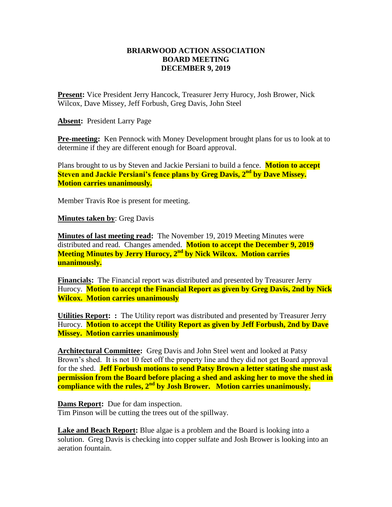## **BRIARWOOD ACTION ASSOCIATION BOARD MEETING DECEMBER 9, 2019**

**Present:** Vice President Jerry Hancock, Treasurer Jerry Hurocy, Josh Brower, Nick Wilcox, Dave Missey, Jeff Forbush, Greg Davis, John Steel

**Absent:** President Larry Page

**Pre-meeting:** Ken Pennock with Money Development brought plans for us to look at to determine if they are different enough for Board approval.

Plans brought to us by Steven and Jackie Persiani to build a fence. **Motion to accept Steven and Jackie Persiani's fence plans by Greg Davis, 2nd by Dave Missey. Motion carries unanimously.**

Member Travis Roe is present for meeting.

**Minutes taken by**: Greg Davis

**Minutes of last meeting read:** The November 19, 2019 Meeting Minutes were distributed and read. Changes amended. **Motion to accept the December 9, 2019 Meeting Minutes by Jerry Hurocy, 2nd by Nick Wilcox. Motion carries unanimously.**

**Financials:** The Financial report was distributed and presented by Treasurer Jerry Hurocy. **Motion to accept the Financial Report as given by Greg Davis, 2nd by Nick Wilcox. Motion carries unanimously** 

**Utilities Report: :** The Utility report was distributed and presented by Treasurer Jerry Hurocy. **Motion to accept the Utility Report as given by Jeff Forbush, 2nd by Dave Missey. Motion carries unanimously** 

**Architectural Committee:** Greg Davis and John Steel went and looked at Patsy Brown's shed. It is not 10 feet off the property line and they did not get Board approval for the shed. **Jeff Forbush motions to send Patsy Brown a letter stating she must ask permission from the Board before placing a shed and asking her to move the shed in compliance with the rules, 2nd by Josh Brower. Motion carries unanimously.**

**Dams Report:** Due for dam inspection. Tim Pinson will be cutting the trees out of the spillway.

**Lake and Beach Report:** Blue algae is a problem and the Board is looking into a solution. Greg Davis is checking into copper sulfate and Josh Brower is looking into an aeration fountain.